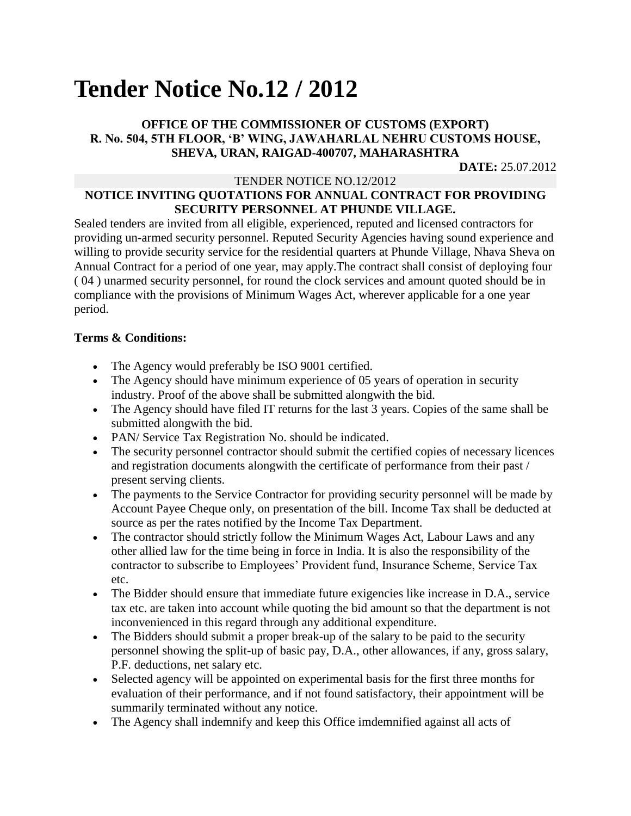# **Tender Notice No.12 / 2012**

## **OFFICE OF THE COMMISSIONER OF CUSTOMS (EXPORT) R. No. 504, 5TH FLOOR, 'B' WING, JAWAHARLAL NEHRU CUSTOMS HOUSE, SHEVA, URAN, RAIGAD-400707, MAHARASHTRA**

**DATE:** 25.07.2012

#### TENDER NOTICE NO.12/2012

## **NOTICE INVITING QUOTATIONS FOR ANNUAL CONTRACT FOR PROVIDING SECURITY PERSONNEL AT PHUNDE VILLAGE.**

Sealed tenders are invited from all eligible, experienced, reputed and licensed contractors for providing un-armed security personnel. Reputed Security Agencies having sound experience and willing to provide security service for the residential quarters at Phunde Village, Nhava Sheva on Annual Contract for a period of one year, may apply.The contract shall consist of deploying four ( 04 ) unarmed security personnel, for round the clock services and amount quoted should be in compliance with the provisions of Minimum Wages Act, wherever applicable for a one year period.

### **Terms & Conditions:**

- The Agency would preferably be ISO 9001 certified.
- The Agency should have minimum experience of 05 years of operation in security industry. Proof of the above shall be submitted alongwith the bid.
- The Agency should have filed IT returns for the last 3 years. Copies of the same shall be submitted alongwith the bid.
- PAN/ Service Tax Registration No. should be indicated.
- The security personnel contractor should submit the certified copies of necessary licences and registration documents alongwith the certificate of performance from their past / present serving clients.
- The payments to the Service Contractor for providing security personnel will be made by Account Payee Cheque only, on presentation of the bill. Income Tax shall be deducted at source as per the rates notified by the Income Tax Department.
- The contractor should strictly follow the Minimum Wages Act, Labour Laws and any other allied law for the time being in force in India. It is also the responsibility of the contractor to subscribe to Employees' Provident fund, Insurance Scheme, Service Tax etc.
- The Bidder should ensure that immediate future exigencies like increase in D.A., service tax etc. are taken into account while quoting the bid amount so that the department is not inconvenienced in this regard through any additional expenditure.
- The Bidders should submit a proper break-up of the salary to be paid to the security personnel showing the split-up of basic pay, D.A., other allowances, if any, gross salary, P.F. deductions, net salary etc.
- Selected agency will be appointed on experimental basis for the first three months for evaluation of their performance, and if not found satisfactory, their appointment will be summarily terminated without any notice.
- The Agency shall indemnify and keep this Office imdemnified against all acts of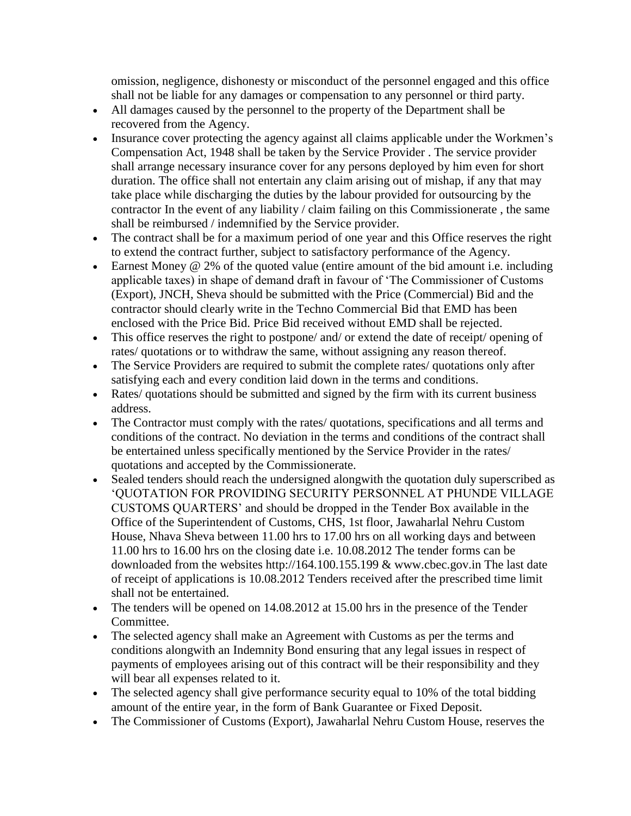omission, negligence, dishonesty or misconduct of the personnel engaged and this office shall not be liable for any damages or compensation to any personnel or third party.

- All damages caused by the personnel to the property of the Department shall be recovered from the Agency.
- Insurance cover protecting the agency against all claims applicable under the Workmen's Compensation Act, 1948 shall be taken by the Service Provider . The service provider shall arrange necessary insurance cover for any persons deployed by him even for short duration. The office shall not entertain any claim arising out of mishap, if any that may take place while discharging the duties by the labour provided for outsourcing by the contractor In the event of any liability / claim failing on this Commissionerate , the same shall be reimbursed / indemnified by the Service provider.
- The contract shall be for a maximum period of one year and this Office reserves the right to extend the contract further, subject to satisfactory performance of the Agency.
- Earnest Money  $@$  2% of the quoted value (entire amount of the bid amount i.e. including applicable taxes) in shape of demand draft in favour of 'The Commissioner of Customs (Export), JNCH, Sheva should be submitted with the Price (Commercial) Bid and the contractor should clearly write in the Techno Commercial Bid that EMD has been enclosed with the Price Bid. Price Bid received without EMD shall be rejected.
- This office reserves the right to postpone/ and/ or extend the date of receipt/ opening of rates/ quotations or to withdraw the same, without assigning any reason thereof.
- The Service Providers are required to submit the complete rates/ quotations only after satisfying each and every condition laid down in the terms and conditions.
- Rates/ quotations should be submitted and signed by the firm with its current business address.
- The Contractor must comply with the rates/ quotations, specifications and all terms and conditions of the contract. No deviation in the terms and conditions of the contract shall be entertained unless specifically mentioned by the Service Provider in the rates/ quotations and accepted by the Commissionerate.
- Sealed tenders should reach the undersigned alongwith the quotation duly superscribed as 'QUOTATION FOR PROVIDING SECURITY PERSONNEL AT PHUNDE VILLAGE CUSTOMS QUARTERS' and should be dropped in the Tender Box available in the Office of the Superintendent of Customs, CHS, 1st floor, Jawaharlal Nehru Custom House, Nhava Sheva between 11.00 hrs to 17.00 hrs on all working days and between 11.00 hrs to 16.00 hrs on the closing date i.e. 10.08.2012 The tender forms can be downloaded from the websites http://164.100.155.199 & www.cbec.gov.in The last date of receipt of applications is 10.08.2012 Tenders received after the prescribed time limit shall not be entertained.
- The tenders will be opened on 14.08.2012 at 15.00 hrs in the presence of the Tender Committee.
- The selected agency shall make an Agreement with Customs as per the terms and conditions alongwith an Indemnity Bond ensuring that any legal issues in respect of payments of employees arising out of this contract will be their responsibility and they will bear all expenses related to it.
- The selected agency shall give performance security equal to 10% of the total bidding amount of the entire year, in the form of Bank Guarantee or Fixed Deposit.
- The Commissioner of Customs (Export), Jawaharlal Nehru Custom House, reserves the